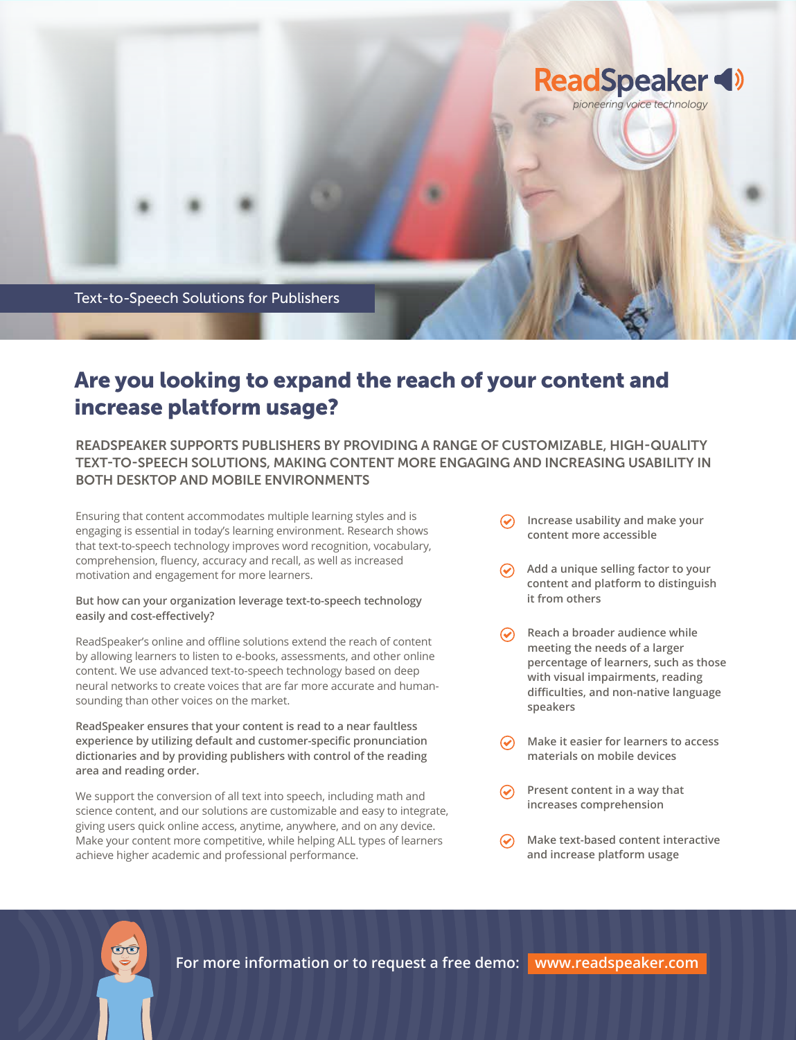

## Are you looking to expand the reach of your content and increase platform usage?

READSPEAKER SUPPORTS PUBLISHERS BY PROVIDING A RANGE OF CUSTOMIZABLE, HIGH-QUALITY TEXT-TO-SPEECH SOLUTIONS, MAKING CONTENT MORE ENGAGING AND INCREASING USABILITY IN BOTH DESKTOP AND MOBILE ENVIRONMENTS

Ensuring that content accommodates multiple learning styles and is engaging is essential in today's learning environment. Research shows that text-to-speech technology improves word recognition, vocabulary, comprehension, fluency, accuracy and recall, as well as increased motivation and engagement for more learners.

#### **But how can your organization leverage text-to-speech technology easily and cost-effectively?**

ReadSpeaker's online and offline solutions extend the reach of content by allowing learners to listen to e-books, assessments, and other online content. We use advanced text-to-speech technology based on deep neural networks to create voices that are far more accurate and humansounding than other voices on the market.

**ReadSpeaker ensures that your content is read to a near faultless experience by utilizing default and customer-specific pronunciation dictionaries and by providing publishers with control of the reading area and reading order.**

We support the conversion of all text into speech, including math and science content, and our solutions are customizable and easy to integrate, giving users quick online access, anytime, anywhere, and on any device. Make your content more competitive, while helping ALL types of learners achieve higher academic and professional performance.

- **Increase usability and make your content more accessible**
- **Add a unique selling factor to your content and platform to distinguish it from others**
- $\odot$  Reach a broader audience while **meeting the needs of a larger percentage of learners, such as those with visual impairments, reading difficulties, and non-native language speakers**
- **Make it easier for learners to access materials on mobile devices**
- **Present content in a way that**   $\odot$ **increases comprehension**
- **Make text-based content interactive**   $\odot$ **and increase platform usage**

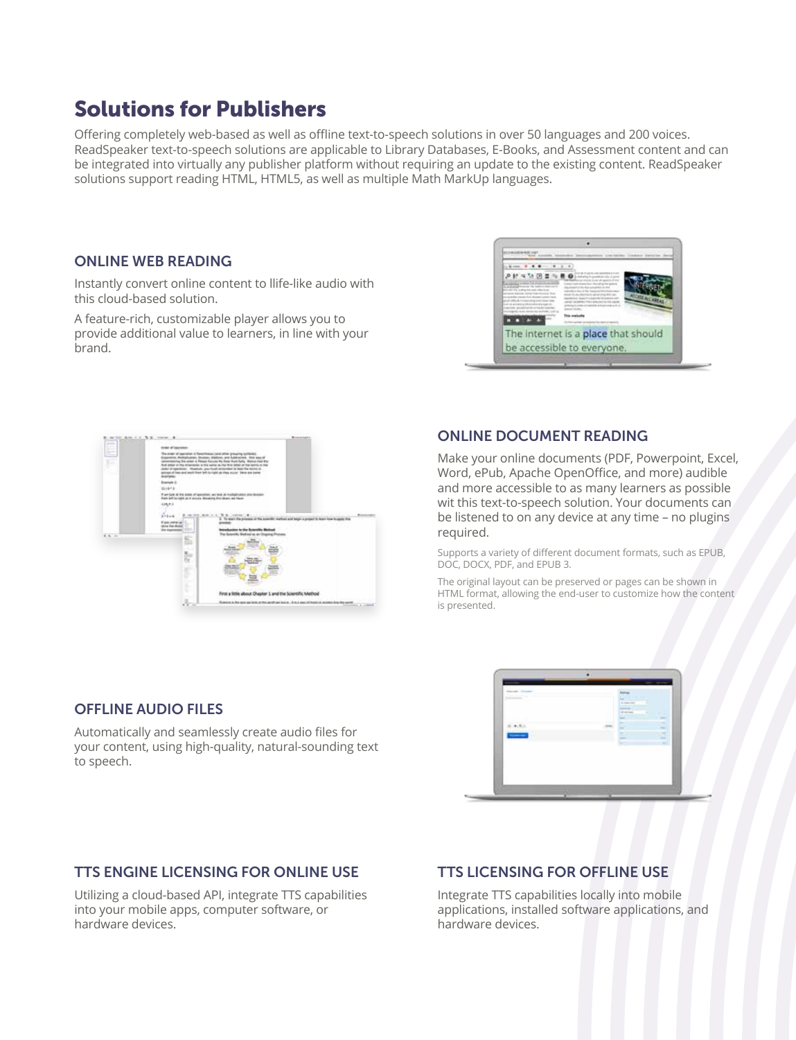## Solutions for Publishers

Offering completely web-based as well as offline text-to-speech solutions in over 50 languages and 200 voices. ReadSpeaker text-to-speech solutions are applicable to Library Databases, E-Books, and Assessment content and can be integrated into virtually any publisher platform without requiring an update to the existing content. ReadSpeaker solutions support reading HTML, HTML5, as well as multiple Math MarkUp languages.

#### ONLINE WEB READING

Instantly convert online content to llife-like audio with this cloud-based solution.

A feature-rich, customizable player allows you to provide additional value to learners, in line with your brand.





#### ONLINE DOCUMENT READING

Make your online documents (PDF, Powerpoint, Excel, Word, ePub, Apache OpenOffice, and more) audible and more accessible to as many learners as possible wit this text-to-speech solution. Your documents can be listened to on any device at any time – no plugins required.

Supports a variety of different document formats, such as EPUB, DOC, DOCX, PDF, and EPUB 3.

The original layout can be preserved or pages can be shown in HTML format, allowing the end-user to customize how the content is presented.

| <b>Service County</b><br>È,<br>÷ |        | <b>Rollings 11</b><br><b>LYTT</b><br><b>Brownward</b><br><b>Contract</b><br>ᆋ<br>۰ |
|----------------------------------|--------|------------------------------------------------------------------------------------|
| b<br>-                           | $\sim$ | $\sim$<br>÷<br>$\sim$<br>R<br>-<br>$\sim$<br>≕<br>đ0<br>-<br>--<br>$\sim$<br>÷     |
|                                  |        |                                                                                    |

#### OFFLINE AUDIO FILES

Automatically and seamlessly create audio files for your content, using high-quality, natural-sounding text to speech.

#### TTS ENGINE LICENSING FOR ONLINE USE

Utilizing a cloud-based API, integrate TTS capabilities into your mobile apps, computer software, or hardware devices.

### TTS LICENSING FOR OFFLINE USE

Integrate TTS capabilities locally into mobile applications, installed software applications, and hardware devices.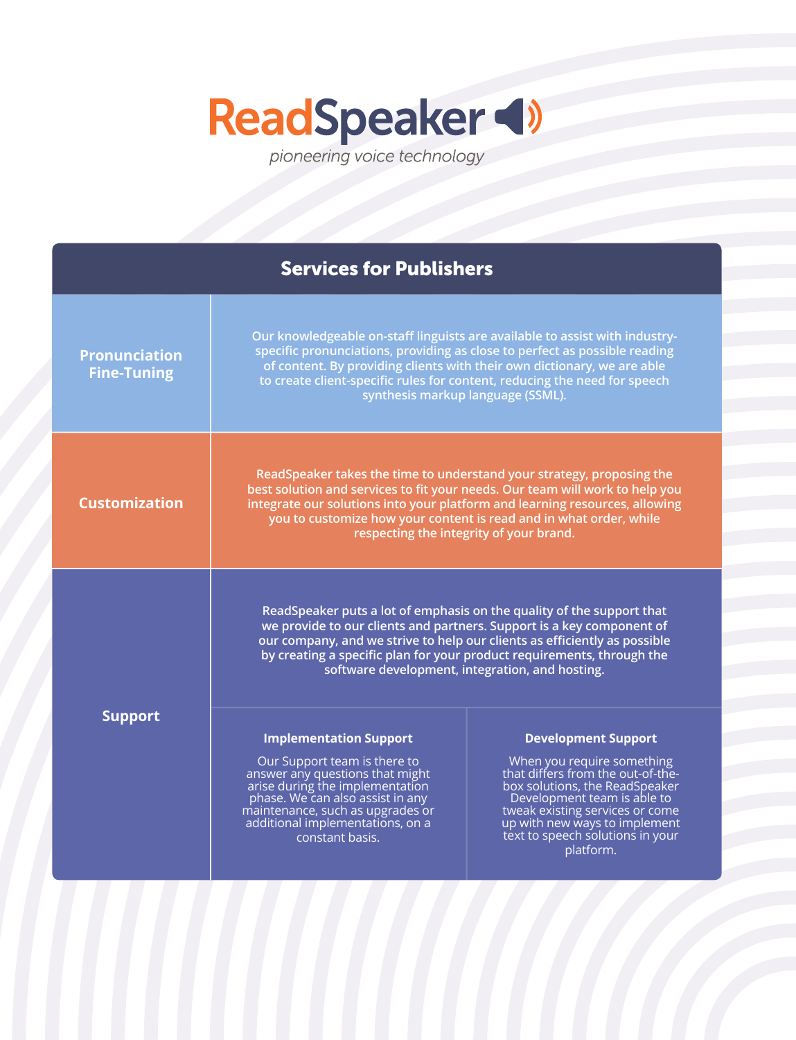# ReadSpeaker

| <b>Services for Publishers</b>             |                                                                                                                                                                                                                                                                                                                                                          |                                                                                                                                                                                                                                                                                     |  |
|--------------------------------------------|----------------------------------------------------------------------------------------------------------------------------------------------------------------------------------------------------------------------------------------------------------------------------------------------------------------------------------------------------------|-------------------------------------------------------------------------------------------------------------------------------------------------------------------------------------------------------------------------------------------------------------------------------------|--|
| <b>Pronunciation</b><br><b>Fine-Tuning</b> | Our knowledgeable on-staff linguists are available to assist with industry-<br>specific pronunciations, providing as close to perfect as possible reading<br>of content. By providing clients with their own dictionary, we are able<br>to create client-specific rules for content, reducing the need for speech<br>synthesis markup language (SSML).   |                                                                                                                                                                                                                                                                                     |  |
| <b>Customization</b>                       | ReadSpeaker takes the time to understand your strategy, proposing the<br>best solution and services to fit your needs. Our team will work to help you<br>integrate our solutions into your platform and learning resources, allowing<br>you to customize how your content is read and in what order, while<br>respecting the integrity of your brand.    |                                                                                                                                                                                                                                                                                     |  |
|                                            | ReadSpeaker puts a lot of emphasis on the quality of the support that<br>we provide to our clients and partners. Support is a key component of<br>our company, and we strive to help our clients as efficiently as possible<br>by creating a specific plan for your product requirements, through the<br>software development, integration, and hosting. |                                                                                                                                                                                                                                                                                     |  |
| <b>Support</b>                             | <b>Implementation Support</b><br>Our Support team is there to<br>answer any questions that might<br>arise during the implementation<br>phase. We can also assist in any<br>maintenance, such as upgrades or<br>additional implementations, on a<br>constant basis.                                                                                       | <b>Development Support</b><br>When you require something<br>that differs from the out-of-the-<br>box solutions, the ReadSpeaker<br>Development team is able to<br>tweak existing services or come<br>up with new ways to implement<br>text to speech solutions in your<br>platform. |  |